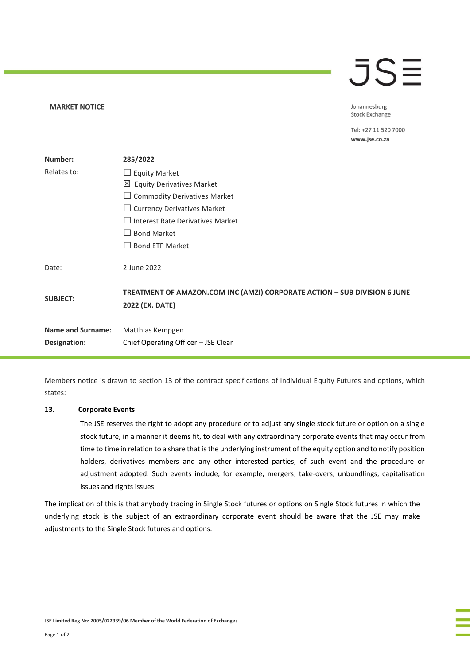# $\overline{\mathsf{J}}\mathsf{S}\overline{\Xi}$

Johannesburg **Stock Exchange** 

Tel: +27 11 520 7000 www.jse.co.za

| Number:                  | 285/2022                                                                                     |
|--------------------------|----------------------------------------------------------------------------------------------|
| Relates to:              | $\Box$ Equity Market                                                                         |
|                          | 凶 Equity Derivatives Market                                                                  |
|                          | $\Box$ Commodity Derivatives Market                                                          |
|                          | $\Box$ Currency Derivatives Market                                                           |
|                          | $\Box$ Interest Rate Derivatives Market                                                      |
|                          | <b>Bond Market</b>                                                                           |
|                          | <b>Bond ETP Market</b>                                                                       |
| Date:                    | 2 June 2022                                                                                  |
| <b>SUBJECT:</b>          | TREATMENT OF AMAZON.COM INC (AMZI) CORPORATE ACTION - SUB DIVISION 6 JUNE<br>2022 (EX. DATE) |
| <b>Name and Surname:</b> | Matthias Kempgen                                                                             |
| Designation:             | Chief Operating Officer - JSE Clear                                                          |

Members notice is drawn to section 13 of the contract specifications of Individual Equity Futures and options, which states:

# **13. Corporate Events**

**MARKET NOTICE** 

The JSE reserves the right to adopt any procedure or to adjust any single stock future or option on a single stock future, in a manner it deems fit, to deal with any extraordinary corporate events that may occur from time to time in relation to a share that is the underlying instrument of the equity option and to notify position holders, derivatives members and any other interested parties, of such event and the procedure or adjustment adopted. Such events include, for example, mergers, take-overs, unbundlings, capitalisation issues and rights issues.

The implication of this is that anybody trading in Single Stock futures or options on Single Stock futures in which the underlying stock is the subject of an extraordinary corporate event should be aware that the JSE may make adjustments to the Single Stock futures and options.